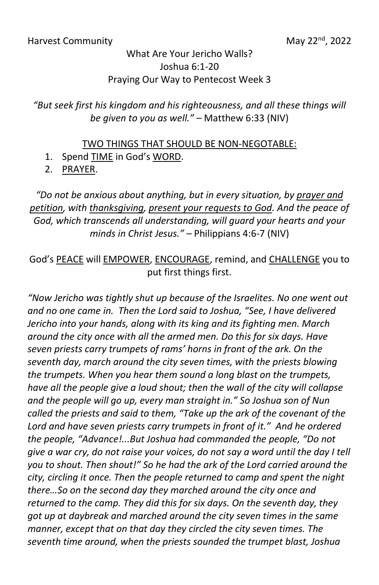## What Are Your Jericho Walls? Joshua 6:1-20 Praying Our Way to Pentecost Week 3

*"But seek first his kingdom and his righteousness, and all these things will be given to you as well."* – Matthew 6:33 (NIV)

## TWO THINGS THAT SHOULD BE NON-NEGOTABLE:

- 1. Spend TIME in God's WORD.
- 2. PRAYER.

## *"Do not be anxious about anything, but in every situation, by prayer and petition, with thanksgiving, present your requests to God. And the peace of God, which transcends all understanding, will guard your hearts and your minds in Christ Jesus."* – Philippians 4:6-7 (NIV)

## God's PEACE will EMPOWER, ENCOURAGE, remind, and CHALLENGE you to put first things first.

*"Now Jericho was tightly shut up because of the Israelites. No one went out and no one came in. Then the Lord said to Joshua, "See, I have delivered Jericho into your hands, along with its king and its fighting men. March around the city once with all the armed men. Do this for six days. Have seven priests carry trumpets of rams' horns in front of the ark. On the seventh day, march around the city seven times, with the priests blowing the trumpets. When you hear them sound a long blast on the trumpets, have all the people give a loud shout; then the wall of the city will collapse and the people will go up, every man straight in." So Joshua son of Nun called the priests and said to them, "Take up the ark of the covenant of the Lord and have seven priests carry trumpets in front of it." And he ordered the people, "Advance!...But Joshua had commanded the people, "Do not give a war cry, do not raise your voices, do not say a word until the day I tell you to shout. Then shout!" So he had the ark of the Lord carried around the city, circling it once. Then the people returned to camp and spent the night there…So on the second day they marched around the city once and returned to the camp. They did this for six days. On the seventh day, they got up at daybreak and marched around the city seven times in the same manner, except that on that day they circled the city seven times. The seventh time around, when the priests sounded the trumpet blast, Joshua*